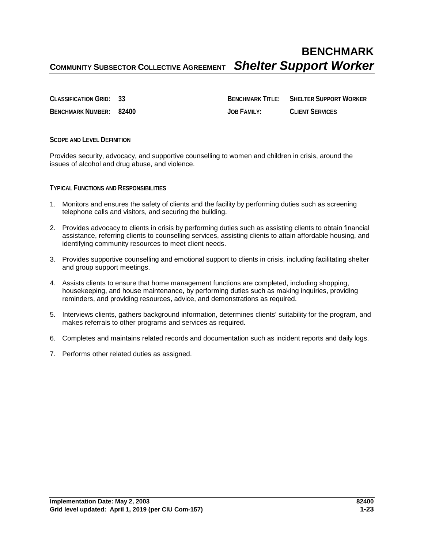# **BENCHMARK COMMUNITY SUBSECTOR COLLECTIVE AGREEMENT** *Shelter Support Worker*

**CLASSIFICATION GRID: 33 BENCHMARK TITLE: SHELTER SUPPORT WORKER BENCHMARK NUMBER: 82400 JOB FAMILY: CLIENT SERVICES**

**SCOPE AND LEVEL DEFINITION**

Provides security, advocacy, and supportive counselling to women and children in crisis, around the issues of alcohol and drug abuse, and violence.

#### **TYPICAL FUNCTIONS AND RESPONSIBILITIES**

- 1. Monitors and ensures the safety of clients and the facility by performing duties such as screening telephone calls and visitors, and securing the building.
- 2. Provides advocacy to clients in crisis by performing duties such as assisting clients to obtain financial assistance, referring clients to counselling services, assisting clients to attain affordable housing, and identifying community resources to meet client needs.
- 3. Provides supportive counselling and emotional support to clients in crisis, including facilitating shelter and group support meetings.
- 4. Assists clients to ensure that home management functions are completed, including shopping, housekeeping, and house maintenance, by performing duties such as making inquiries, providing reminders, and providing resources, advice, and demonstrations as required.
- 5. Interviews clients, gathers background information, determines clients' suitability for the program, and makes referrals to other programs and services as required.
- 6. Completes and maintains related records and documentation such as incident reports and daily logs.
- 7. Performs other related duties as assigned.